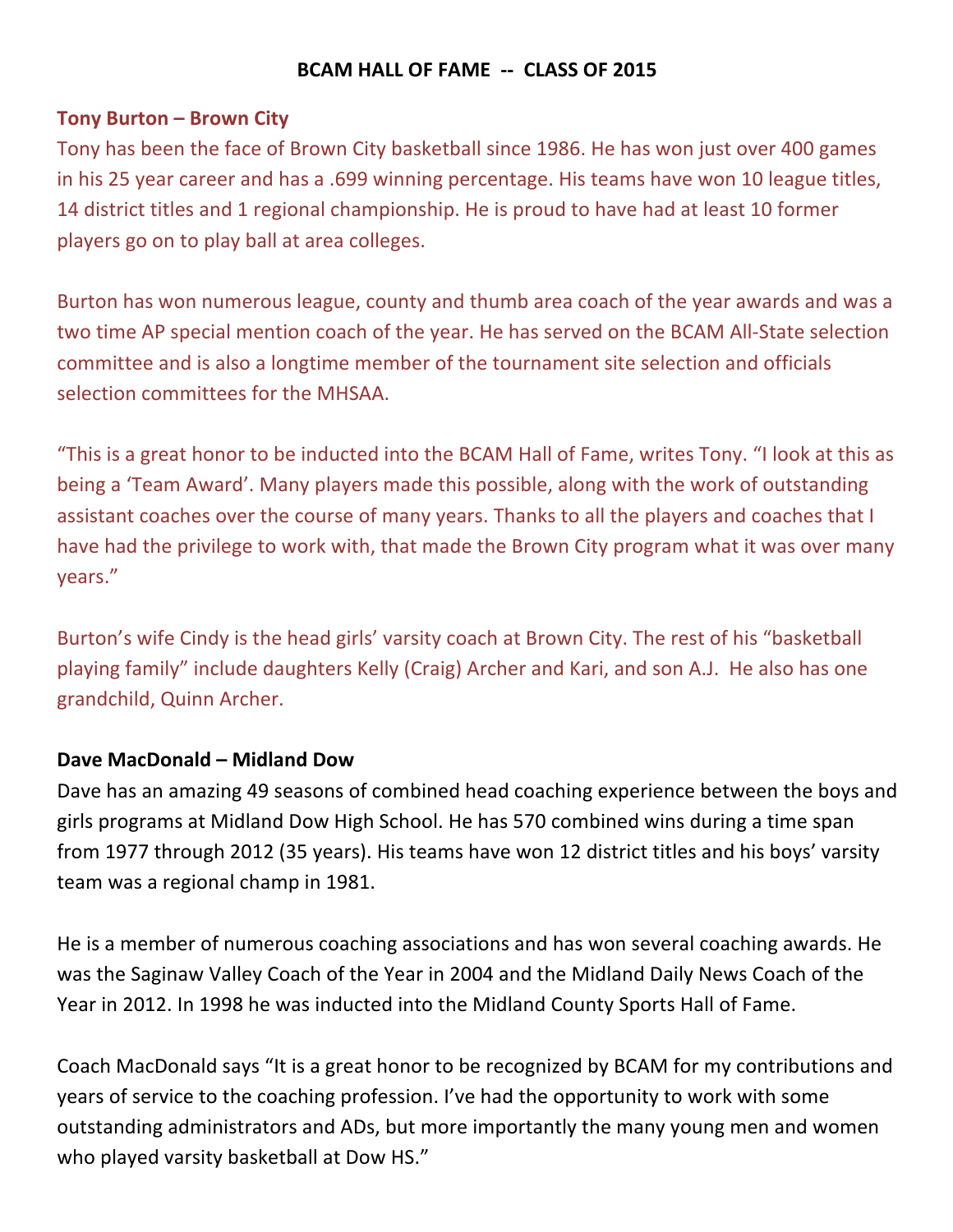## **BCAM HALL OF FAME -- CLASS OF 2015**

### **Tony Burton - Brown City**

Tony has been the face of Brown City basketball since 1986. He has won just over 400 games in his 25 year career and has a .699 winning percentage. His teams have won 10 league titles, 14 district titles and 1 regional championship. He is proud to have had at least 10 former players go on to play ball at area colleges.

Burton has won numerous league, county and thumb area coach of the year awards and was a two time AP special mention coach of the year. He has served on the BCAM All-State selection committee and is also a longtime member of the tournament site selection and officials selection committees for the MHSAA.

"This is a great honor to be inducted into the BCAM Hall of Fame, writes Tony. "I look at this as being a 'Team Award'. Many players made this possible, along with the work of outstanding assistant coaches over the course of many years. Thanks to all the players and coaches that I have had the privilege to work with, that made the Brown City program what it was over many years."

Burton's wife Cindy is the head girls' varsity coach at Brown City. The rest of his "basketball playing family" include daughters Kelly (Craig) Archer and Kari, and son A.J. He also has one grandchild, Quinn Archer.

### **Dave MacDonald – Midland Dow**

Dave has an amazing 49 seasons of combined head coaching experience between the boys and girls programs at Midland Dow High School. He has 570 combined wins during a time span from 1977 through 2012 (35 years). His teams have won 12 district titles and his boys' varsity team was a regional champ in 1981.

He is a member of numerous coaching associations and has won several coaching awards. He was the Saginaw Valley Coach of the Year in 2004 and the Midland Daily News Coach of the Year in 2012. In 1998 he was inducted into the Midland County Sports Hall of Fame.

Coach MacDonald says "It is a great honor to be recognized by BCAM for my contributions and years of service to the coaching profession. I've had the opportunity to work with some outstanding administrators and ADs, but more importantly the many young men and women who played varsity basketball at Dow HS."